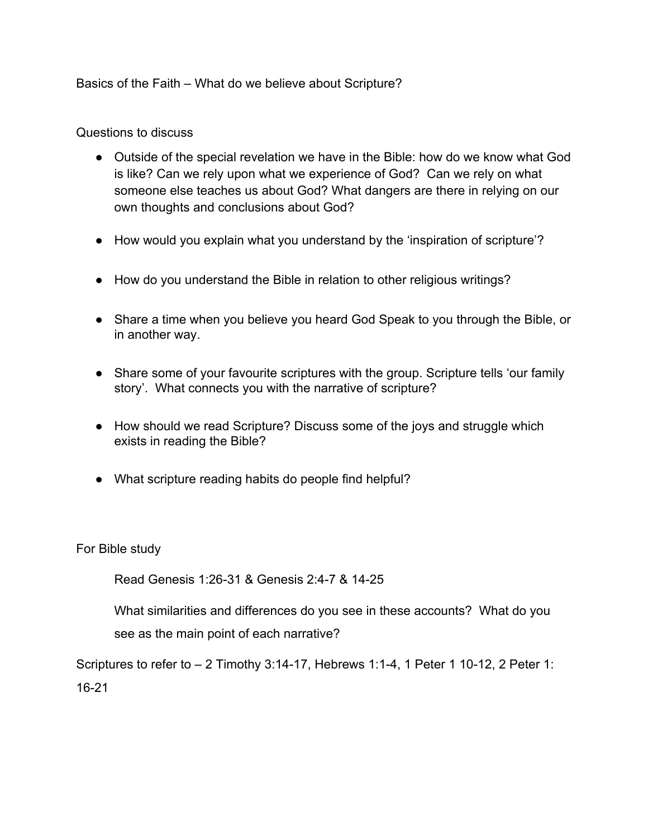Basics of the Faith – What do we believe about Scripture?

Questions to discuss

- Outside of the special revelation we have in the Bible: how do we know what God is like? Can we rely upon what we experience of God? Can we rely on what someone else teaches us about God? What dangers are there in relying on our own thoughts and conclusions about God?
- How would you explain what you understand by the 'inspiration of scripture'?
- How do you understand the Bible in relation to other religious writings?
- Share a time when you believe you heard God Speak to you through the Bible, or in another way.
- Share some of your favourite scriptures with the group. Scripture tells 'our family story'. What connects you with the narrative of scripture?
- How should we read Scripture? Discuss some of the joys and struggle which exists in reading the Bible?
- What scripture reading habits do people find helpful?

For Bible study

Read Genesis 1:26-31 & Genesis 2:4-7 & 14-25

What similarities and differences do you see in these accounts? What do you see as the main point of each narrative?

Scriptures to refer to  $-2$  Timothy 3:14-17, Hebrews 1:1-4, 1 Peter 1 10-12, 2 Peter 1: 16-21